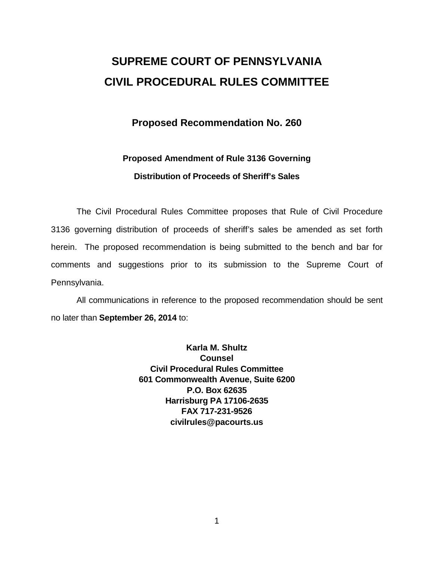# **SUPREME COURT OF PENNSYLVANIA CIVIL PROCEDURAL RULES COMMITTEE**

### **Proposed Recommendation No. 260**

## **Proposed Amendment of Rule 3136 Governing Distribution of Proceeds of Sheriff's Sales**

The Civil Procedural Rules Committee proposes that Rule of Civil Procedure 3136 governing distribution of proceeds of sheriff's sales be amended as set forth herein. The proposed recommendation is being submitted to the bench and bar for comments and suggestions prior to its submission to the Supreme Court of Pennsylvania.

All communications in reference to the proposed recommendation should be sent no later than **September 26, 2014** to:

> **Karla M. Shultz Counsel Civil Procedural Rules Committee 601 Commonwealth Avenue, Suite 6200 P.O. Box 62635 Harrisburg PA 17106-2635 FAX 717-231-9526 civilrules@pacourts.us**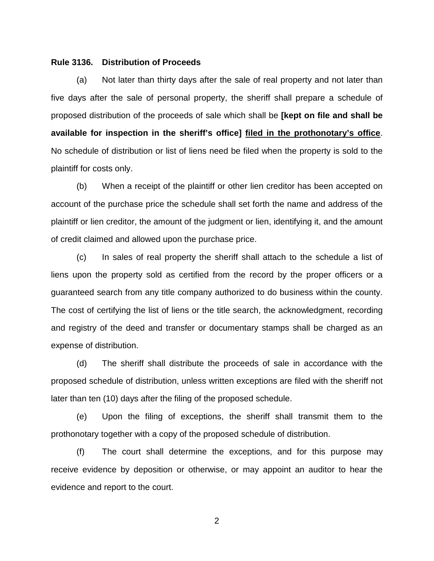#### **Rule 3136. Distribution of Proceeds**

(a) Not later than thirty days after the sale of real property and not later than five days after the sale of personal property, the sheriff shall prepare a schedule of proposed distribution of the proceeds of sale which shall be **[kept on file and shall be available for inspection in the sheriff's office] filed in the prothonotary's office**. No schedule of distribution or list of liens need be filed when the property is sold to the plaintiff for costs only.

(b) When a receipt of the plaintiff or other lien creditor has been accepted on account of the purchase price the schedule shall set forth the name and address of the plaintiff or lien creditor, the amount of the judgment or lien, identifying it, and the amount of credit claimed and allowed upon the purchase price.

(c) In sales of real property the sheriff shall attach to the schedule a list of liens upon the property sold as certified from the record by the proper officers or a guaranteed search from any title company authorized to do business within the county. The cost of certifying the list of liens or the title search, the acknowledgment, recording and registry of the deed and transfer or documentary stamps shall be charged as an expense of distribution.

(d) The sheriff shall distribute the proceeds of sale in accordance with the proposed schedule of distribution, unless written exceptions are filed with the sheriff not later than ten (10) days after the filing of the proposed schedule.

(e) Upon the filing of exceptions, the sheriff shall transmit them to the prothonotary together with a copy of the proposed schedule of distribution.

(f) The court shall determine the exceptions, and for this purpose may receive evidence by deposition or otherwise, or may appoint an auditor to hear the evidence and report to the court.

2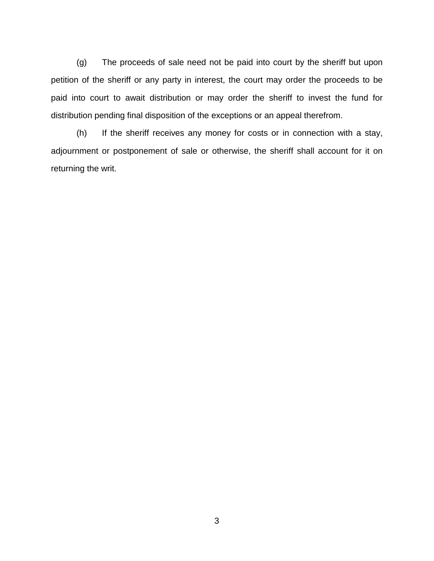(g) The proceeds of sale need not be paid into court by the sheriff but upon petition of the sheriff or any party in interest, the court may order the proceeds to be paid into court to await distribution or may order the sheriff to invest the fund for distribution pending final disposition of the exceptions or an appeal therefrom.

(h) If the sheriff receives any money for costs or in connection with a stay, adjournment or postponement of sale or otherwise, the sheriff shall account for it on returning the writ.